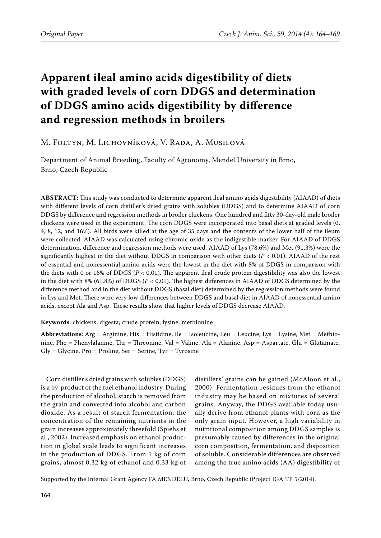# **Apparent ileal amino acids digestibility of diets with graded levels of corn DDGS and determination of DDGS amino acids digestibility by difference and regression methods in broilers**

## M. Foltyn, M. Lichovníková, V. Rada, A. Musilová

Department of Animal Breeding, Faculty of Agronomy, Mendel University in Brno, Brno, Czech Republic

**Abstract**: This study was conducted to determine apparent ileal amino acids digestibility (AIAAD) of diets with different levels of corn distiller's dried grains with solubles (DDGS) and to determine AIAAD of corn DDGS by difference and regression methods in broiler chickens. One hundred and fifty 30-day-old male broiler chickens were used in the experiment. The corn DDGS were incorporated into basal diets at graded levels (0, 4, 8, 12, and 16%). All birds were killed at the age of 35 days and the contents of the lower half of the ileum were collected. AIAAD was calculated using chromic oxide as the indigestible marker. For AIAAD of DDGS determination, difference and regression methods were used. AIAAD of Lys (78.6%) and Met (91.3%) were the significantly highest in the diet without DDGS in comparison with other diets  $(P < 0.01)$ . AIAAD of the rest of essential and nonessential amino acids were the lowest in the diet with 8% of DDGS in comparison with the diets with 0 or 16% of DDGS (*P* < 0.01). The apparent ileal crude protein digestibility was also the lowest in the diet with 8% (61.8%) of DDGS (*P* < 0.01). The highest differences in AIAAD of DDGS determined by the difference method and in the diet without DDGS (basal diet) determined by the regression methods were found in Lys and Met. There were very low differences between DDGS and basal diet in AIAAD of nonessential amino acids, except Ala and Asp. These results show that higher levels of DDGS decrease AIAAD.

**Keywords**: chickens; digesta; crude protein; lysine; methionine

**Abbreviations**: Arg = Arginine, His = Histidine, Ile = Isoleucine, Leu = Leucine, Lys = Lysine, Met = Methionine, Phe = Phenylalanine, Thr = Threonine, Val = Valine, Ala = Alanine, Asp = Aspartate, Glu = Glutamate,  $Gly = Glycine$ ,  $Pro = Proline$ ,  $Ser = Serine$ ,  $Tryr = Tyrosine$ 

Corn distiller's dried grains with solubles (DDGS) is a by-product of the fuel ethanol industry. During the production of alcohol, starch is removed from the grain and converted into alcohol and carbon dioxide. As a result of starch fermentation, the concentration of the remaining nutrients in the grain increases approximately threefold (Spiehs et al., 2002). Increased emphasis on ethanol production in global scale leads to significant increases in the production of DDGS. From 1 kg of corn grains, almost 0.32 kg of ethanol and 0.33 kg of

distillers' grains can be gained (McAloon et al., 2000). Fermentation residues from the ethanol industry may be based on mixtures of several grains. Anyway, the DDGS available today usually derive from ethanol plants with corn as the only grain input. However, a high variability in nutritional composition among DDGS samples is presumably caused by differences in the original corn composition, fermentation, and disposition of soluble. Considerable differences are observed among the true amino acids (AA) digestibility of

Supported by the Internal Grant Agency FA MENDELU, Brno, Czech Republic (Project IGA TP 5/2014).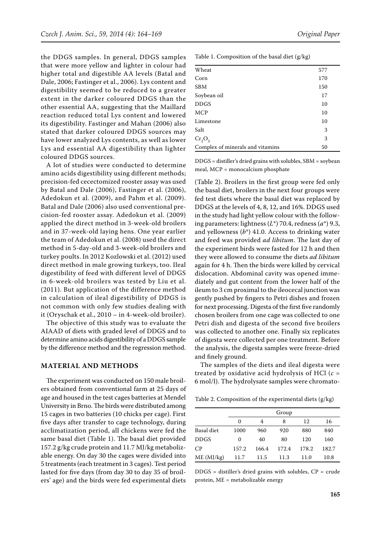the DDGS samples. In general, DDGS samples that were more yellow and lighter in colour had higher total and digestible AA levels (Batal and Dale, 2006; Fastinger et al., 2006). Lys content and digestibility seemed to be reduced to a greater extent in the darker coloured DDGS than the other essential AA, suggesting that the Maillard reaction reduced total Lys content and lowered its digestibility. Fastinger and Mahan (2006) also stated that darker coloured DDGS sources may have lower analyzed Lys contents, as well as lower Lys and essential AA digestibility than lighter coloured DDGS sources.

A lot of studies were conducted to determine amino acids digestibility using different methods; precision-fed cecectomized rooster assay was used by Batal and Dale (2006), Fastinger et al. (2006), Adedokun et al. (2009), and Pahm et al. (2009). Batal and Dale (2006) also used conventional precision-fed rooster assay. Adedokun et al. (2009) applied the direct method in 3-week-old broilers and in 37-week-old laying hens. One year earlier the team of Adedokun et al. (2008) used the direct method in 5-day-old and 3-week-old broilers and turkey poults. In 2012 Kozlowski et al. (2012) used direct method in male growing turkeys, too. Ileal digestibility of feed with different level of DDGS in 6-week-old broilers was tested by Liu et al. (2011). But application of the difference method in calculation of ileal digestibility of DDGS is not common with only few studies dealing with it (Oryschak et al., 2010 – in 4-week-old broiler).

The objective of this study was to evaluate the AIAAD of diets with graded level of DDGS and to determine amino acids digestibility of a DDGS sample by the difference method and the regression method.

#### **Material and metHods**

The experiment was conducted on 150 male broilers obtained from conventional farm at 25 days of age and housed in the test cages batteries at Mendel University in Brno. The birds were distributed among 15 cages in two batteries (10 chicks per cage). First five days after transfer to cage technology, during acclimatization period, all chickens were fed the same basal diet (Table 1). The basal diet provided 157.2 g/kg crude protein and 11.7 MJ/kg metabolizable energy. On day 30 the cages were divided into 5 treatments (each treatment in 3 cages). Test period lasted for five days (from day 30 to day 35 of broilers' age) and the birds were fed experimental diets

| Wheat                            | 577 |
|----------------------------------|-----|
| Corn                             | 170 |
| <b>SBM</b>                       | 150 |
| Soybean oil                      | 17  |
| <b>DDGS</b>                      | 10  |
| <b>MCP</b>                       | 10  |
| Limestone                        | 10  |
| Salt                             | 3   |
| $Cr_2O_3$                        | 3   |
| Complex of minerals and vitamins | 50  |

Table 1. Composition of the basal diet (g/kg)

DDGS = distiller's dried grains with solubles, SBM = soybean meal, MCP = monocalcium phosphate

(Table 2). Broilers in the first group were fed only the basal diet, broilers in the next four groups were fed test diets where the basal diet was replaced by DDGS at the levels of 4, 8, 12, and 16%. DDGS used in the study had light yellow colour with the following parameters: lightness (*L*\*) 70.4, redness (*a*\*) 9.3, and yellowness (*b*\*) 41.0. Access to drinking water and feed was provided *ad libitum*. The last day of the experiment birds were fasted for 12 h and then they were allowed to consume the diets *ad libitum* again for 4 h. Then the birds were killed by cervical dislocation. Abdominal cavity was opened immediately and gut content from the lower half of the ileum to 3 cm proximal to the ileocecal junction was gently pushed by fingers to Petri dishes and frozen for next processing. Digesta of the first five randomly chosen broilers from one cage was collected to one Petri dish and digesta of the second five broilers was collected to another one. Finally six replicates of digesta were collected per one treatment. Before the analysis, the digesta samples were freeze-dried and finely ground.

The samples of the diets and ileal digesta were treated by oxidative acid hydrolysis of HCl (*c* = 6 mol/l). The hydrolysate samples were chromato-

Table 2. Composition of the experimental diets (g/kg)

|             |          |       | Group |       |       |
|-------------|----------|-------|-------|-------|-------|
|             | $\Omega$ | 4     | 8     | 12    | 16    |
| Basal diet  | 1000     | 960   | 920   | 880   | 840   |
| <b>DDGS</b> | 0        | 40    | 80    | 120   | 160   |
| CP          | 157.2    | 166.4 | 172.4 | 178.2 | 182.7 |
| ME (MJ/kg)  | 11.7     | 11.5  | 11.3  | 11.0  | 10.8  |

 $DDGS =$  distiller's dried grains with solubles,  $CP =$  crude protein, ME = metabolizable energy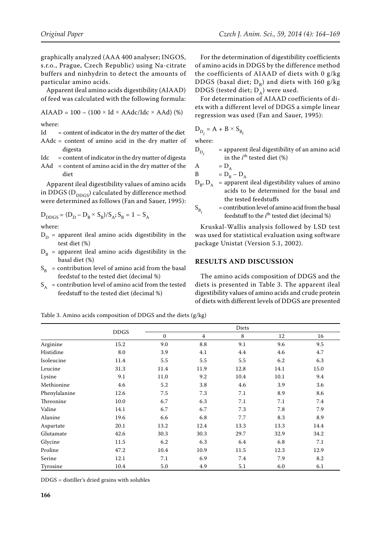graphically analyzed (AAA 400 analyser; INGOS, s.r.o., Prague, Czech Republic) using Na-citrate buffers and ninhydrin to detect the amounts of particular amino acids.

Apparent ileal amino acids digestibility (AIAAD) of feed was calculated with the following formula:

$$
AIARD = 100 - (100 \times Id \times AAdc/Idc \times AAd) (*)
$$

where:

- $Id =$  content of indicator in the dry matter of the diet
- AAdc = content of amino acid in the dry matter of digesta
- $Idc =$  content of indicator in the dry matter of digesta
- AAd = content of amino acid in the dry matter of the diet

Apparent ileal digestibility values of amino acids in DDGS ( $D_{DDGS}$ ) calculated by difference method were determined as follows (Fan and Sauer, 1995):

$$
D_{DDGS} = (D_D - D_B \times S_B)/S_A; S_B = 1 - S_A
$$
  
where:

where:

- $D_D$  = apparent ileal amino acids digestibility in the test diet (%)
- $D_B$  = apparent ileal amino acids digestibility in the basal diet (%)
- $S_B$  = contribution level of amino acid from the basal feedstuf to the tested diet (decimal %)
- $S_A$  = contribution level of amino acid from the tested feedstuff to the tested diet (decimal %)

For the determination of digestibility coefficients of amino acids in DDGS by the difference method the coefficients of AIAAD of diets with 0 g/kg DDGS (basal diet;  $D_B$ ) and diets with 160 g/kg DDGS (tested diet;  $D_A$ ) were used.

For determination of AIAAD coefficients of diets with a different level of DDGS a simple linear regression was used (Fan and Sauer, 1995):

$$
\mathbf{D}_{\mathbf{D}_i} = \mathbf{A} + \mathbf{B} \times \mathbf{S}_{\mathbf{B}_i}
$$

where:

 $D_{\text{D}}$  = apparent ileal digestibility of an amino acid in the *i*<sup>th</sup> tested diet (%)

$$
\begin{array}{ll}\nA & = D_A \\
B & = D_B - D_A\n\end{array}
$$

- $D_{B}$ ,  $D_{A}$  = apparent ileal digestibility values of amino acids to be determined for the basal and the tested feedstuffs
- $S_B$  = contribution level of amino acid from the basal feedstuff to the  $i^{\text{th}}$  tested diet (decimal %)

Kruskal-Wallis analysis followed by LSD test was used for statistical evaluation using software package Unistat (Version 5.1, 2002).

#### **Results and discusSion**

The amino acids composition of DDGS and the diets is presented in Table 3. The apparent ileal digestibility values of amino acids and crude protein of diets with different levels of DDGS are presented

Table 3. Amino acids composition of DDGS and the diets (g/kg)

|               |             |             |                | Diets |      |      |
|---------------|-------------|-------------|----------------|-------|------|------|
|               | <b>DDGS</b> | $\mathbf 0$ | $\overline{4}$ | 8     | 12   | 16   |
| Arginine      | 15.2        | 9.0         | 8.8            | 9.1   | 9.6  | 9.5  |
| Histidine     | 8.0         | 3.9         | 4.1            | 4.4   | 4.6  | 4.7  |
| Isoleucine    | 11.4        | 5.5         | 5.5            | 5.5   | 6.2  | 6.3  |
| Leucine       | 31.3        | 11.4        | 11.9           | 12.8  | 14.1 | 15.0 |
| Lysine        | 9.1         | 11.0        | 9.2            | 10.4  | 10.1 | 9.4  |
| Methionine    | 4.6         | 5.2         | 3.8            | 4.6   | 3.9  | 3.6  |
| Phenylalanine | 12.6        | 7.5         | 7.3            | 7.1   | 8.9  | 8.6  |
| Threonine     | 10.0        | 6.7         | 6.3            | 7.1   | 7.1  | 7.4  |
| Valine        | 14.1        | 6.7         | 6.7            | 7.3   | 7.8  | 7.9  |
| Alanine       | 19.6        | 6.6         | 6.8            | 7.7   | 8.3  | 8.9  |
| Aspartate     | 20.1        | 13.2        | 12.4           | 13.3  | 13.3 | 14.4 |
| Glutamate     | 42.6        | 30.3        | 30.3           | 29.7  | 32.9 | 34.2 |
| Glycine       | 11.5        | 6.2         | 6.3            | 6.4   | 6.8  | 7.1  |
| Proline       | 47.2        | 10.4        | 10.9           | 11.5  | 12.3 | 12.9 |
| Serine        | 12.1        | 7.1         | 6.9            | 7.4   | 7.9  | 8.2  |
| Tyrosine      | 10.4        | 5.0         | 4.9            | 5.1   | 6.0  | 6.1  |

DDGS = distiller's dried grains with solubles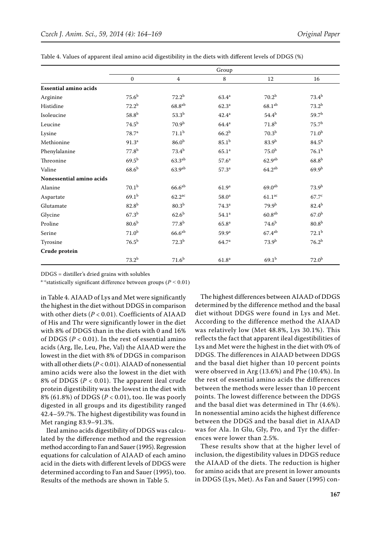|                              | Group             |                      |                   |                      |                   |
|------------------------------|-------------------|----------------------|-------------------|----------------------|-------------------|
|                              | $\mathbf{0}$      | 4                    | 8                 | 12                   | 16                |
| <b>Essential amino acids</b> |                   |                      |                   |                      |                   |
| Arginine                     | 75.6 <sup>b</sup> | $72.2^b$             | $63.4^{\rm a}$    | $70.2^{b}$           | $73.4^{b}$        |
| Histidine                    | $72.2^{b}$        | $68.8^{ab}$          | 62.3 <sup>a</sup> | $68.1^{ab}$          | $73.2^{b}$        |
| Isoleucine                   | 58.8 <sup>b</sup> | $53.3^{b}$           | $42.4^{\rm a}$    | $54.4^{b}$           | 59.7 <sup>b</sup> |
| Leucine                      | 74.5 <sup>b</sup> | 70.9 <sup>b</sup>    | $64.4^{\rm a}$    | $71.8^{b}$           | $75.7^{\rm b}$    |
| Lysine                       | 78.7 <sup>a</sup> | 71.1 <sup>b</sup>    | 66.2 <sup>b</sup> | 70.3 <sup>b</sup>    | 71.0 <sup>b</sup> |
| Methionine                   | 91.3 <sup>a</sup> | 86.0 <sup>b</sup>    | $85.1^{b}$        | $83.9^{b}$           | 84.5 <sup>b</sup> |
| Phenylalanine                | 77.8 <sup>b</sup> | $73.4^{b}$           | 65.1 <sup>a</sup> | 75.0 <sup>b</sup>    | $76.1^{b}$        |
| Threonine                    | $69.5^{\rm b}$    | $63.3^{ab}$          | 57.6 <sup>a</sup> | 62.9 <sup>ab</sup>   | 68.8 <sup>b</sup> |
| Valine                       | 68.6 <sup>b</sup> | 63.9 <sup>ab</sup>   | $57.3^{\circ}$    | $64.2^{ab}$          | $69.9^{b}$        |
| Nonessential amino acids     |                   |                      |                   |                      |                   |
| Alanine                      | 70.1 <sup>b</sup> | $66.6^{ab}$          | 61.9 <sup>a</sup> | $69.0^{ab}$          | 73.9 <sup>b</sup> |
| Aspartate                    | $69.1^{b}$        | $62.2^{\mathrm{ac}}$ | 58.0 <sup>a</sup> | $61.1^{\mathrm{ac}}$ | 67.7c             |
| Glutamate                    | $82.8^{b}$        | 80.3 <sup>b</sup>    | $74.3^a$          | $79.9^{b}$           | $82.4^{b}$        |
| Glycine                      | $67.3^{b}$        | $62.6^{b}$           | 54.1 <sup>a</sup> | $60.8^{ab}$          | 67.0 <sup>b</sup> |
| Proline                      | 80.6 <sup>b</sup> | $77.8^{b}$           | 65.8 <sup>a</sup> | $74.6^{b}$           | 80.8 <sup>b</sup> |
| Serine                       | 71.0 <sup>b</sup> | $66.6^{ab}$          | $59.9^{\rm a}$    | $67.4^{ab}$          | $72.1^{\rm b}$    |
| Tyrosine                     | $76.5^{b}$        | $72.3^{b}$           | 64.7 <sup>a</sup> | 73.9 <sup>b</sup>    | $76.2^{b}$        |
| Crude protein                |                   |                      |                   |                      |                   |
|                              | $73.2^{b}$        | $71.6^{\rm b}$       | 61.8 <sup>a</sup> | $69.1^{b}$           | 72.0 <sup>b</sup> |

Table 4. Values of apparent ileal amino acid digestibility in the diets with different levels of DDGS (%)

DDGS = distiller's dried grains with solubles

a–cstatistically significant difference between groups (*P* < 0.01)

in Table 4. AIAAD of Lys and Met were significantly the highest in the diet without DDGS in comparison with other diets (*P* < 0.01). Coefficients of AIAAD of His and Thr were significantly lower in the diet with 8% of DDGS than in the diets with 0 and 16% of DDGS ( $P < 0.01$ ). In the rest of essential amino acids (Arg, Ile, Leu, Phe, Val) the AIAAD were the lowest in the diet with 8% of DDGS in comparison with all other diets (*P* < 0.01). AIAAD of nonessential amino acids were also the lowest in the diet with 8% of DDGS (*P* < 0.01). The apparent ileal crude protein digestibility was the lowest in the diet with 8% (61.8%) of DDGS (*P* < 0.01), too. Ile was poorly digested in all groups and its digestibility ranged 42.4–59.7%. The highest digestibility was found in Met ranging 83.9–91.3%.

Ileal amino acids digestibility of DDGS was calculated by the difference method and the regression method according to Fan and Sauer (1995). Regression equations for calculation of AIAAD of each amino acid in the diets with different levels of DDGS were determined according to Fan and Sauer (1995), too. Results of the methods are shown in Table 5.

The highest differences between AIAAD of DDGS determined by the difference method and the basal diet without DDGS were found in Lys and Met. According to the difference method the AIAAD was relatively low (Met 48.8%, Lys 30.1%). This reflects the fact that apparent ileal digestibilities of Lys and Met were the highest in the diet with 0% of DDGS. The differences in AIAAD between DDGS and the basal diet higher than 10 percent points were observed in Arg (13.6%) and Phe (10.4%). In the rest of essential amino acids the differences between the methods were lesser than 10 percent points. The lowest difference between the DDGS and the basal diet was determined in Thr (4.6%). In nonessential amino acids the highest difference between the DDGS and the basal diet in AIAAD was for Ala. In Glu, Gly, Pro, and Tyr the differences were lower than 2.5%.

These results show that at the higher level of inclusion, the digestibility values in DDGS reduce the AIAAD of the diets. The reduction is higher for amino acids that are present in lower amounts in DDGS (Lys, Met). As Fan and Sauer (1995) con-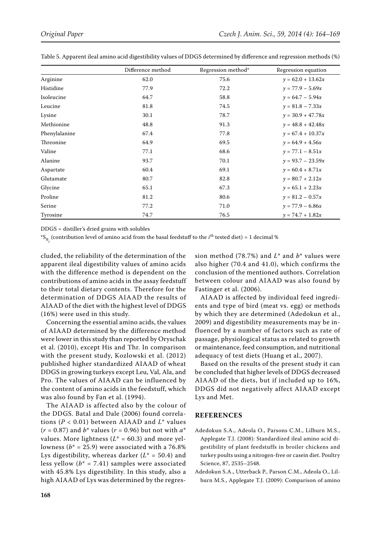|               | Difference method | Regression method* | Regression equation |
|---------------|-------------------|--------------------|---------------------|
| Arginine      | 62.0              | 75.6               | $y = 62.0 + 13.62x$ |
| Histidine     | 77.9              | 72.2               | $y = 77.9 - 5.69x$  |
| Isoleucine    | 64.7              | 58.8               | $y = 64.7 - 5.94x$  |
| Leucine       | 81.8              | 74.5               | $y = 81.8 - 7.33x$  |
| Lysine        | 30.1              | 78.7               | $y = 30.9 + 47.78x$ |
| Methionine    | 48.8              | 91.3               | $y = 48.8 + 42.48x$ |
| Phenylalanine | 67.4              | 77.8               | $y = 67.4 + 10.37x$ |
| Threonine     | 64.9              | 69.5               | $y = 64.9 + 4.56x$  |
| Valine        | 77.1              | 68.6               | $y = 77.1 - 8.51x$  |
| Alanine       | 93.7              | 70.1               | $y = 93.7 - 23.59x$ |
| Aspartate     | 60.4              | 69.1               | $y = 60.4 + 8.71x$  |
| Glutamate     | 80.7              | 82.8               | $y = 80.7 + 2.12x$  |
| Glycine       | 65.1              | 67.3               | $y = 65.1 + 2.23x$  |
| Proline       | 81.2              | 80.6               | $y = 81.2 - 0.57x$  |
| Serine        | 77.2              | 71.0               | $y = 77.9 - 6.86x$  |
| Tyrosine      | 74.7              | 76.5               | $y = 74.7 + 1.82x$  |

Table 5. Apparent ileal amino acid digestibility values of DDGS determined by difference and regression methods (%)

DDGS = distiller's dried grains with solubles

 ${}^*\mathsf{S}_{\mathsf{B}_i}$  (contribution level of amino acid from the basal feedstuff to the *i*<sup>th</sup> tested diet) = 1 decimal %

cluded, the reliability of the determination of the apparent ileal digestibility values of amino acids with the difference method is dependent on the contributions of amino acids in the assay feedstuff to their total dietary contents. Therefore for the determination of DDGS AIAAD the results of AIAAD of the diet with the highest level of DDGS (16%) were used in this study.

Concerning the essential amino acids, the values of AIAAD determined by the difference method were lower in this study than reported by Oryschak et al. (2010), except His and Thr. In comparison with the present study, Kozlowski et al. (2012) published higher standardized AIAAD of wheat DDGS in growing turkeys except Leu, Val, Ala, and Pro. The values of AIAAD can be influenced by the content of amino acids in the feedstuff, which was also found by Fan et al. (1994).

The AIAAD is affected also by the colour of the DDGS. Batal and Dale (2006) found correlations (*P* < 0.01) between AIAAD and *L*\* values (*r* = 0.87) and *b*\* values (*r* = 0.96) but not with *a*\* values. More lightness  $(L^* = 60.3)$  and more yellowness ( $b^*$  = 25.9) were associated with a 76.8% Lys digestibility, whereas darker  $(L^* = 50.4)$  and less yellow  $(b^* = 7.41)$  samples were associated with 45.8% Lys digestibility. In this study, also a high AIAAD of Lys was determined by the regres-

sion method (78.7%) and *L*\* and *b*\* values were also higher (70.4 and 41.0), which confirms the conclusion of the mentioned authors. Correlation between colour and AIAAD was also found by Fastinger et al. (2006).

AIAAD is affected by individual feed ingredients and type of bird (meat vs. egg) or methods by which they are determined (Adedokun et al., 2009) and digestibility measurements may be influenced by a number of factors such as rate of passage, physiological status as related to growth or maintenance, feed consumption, and nutritional adequacy of test diets (Huang et al., 2007).

Based on the results of the present study it can be concluded that higher levels of DDGS decreased AIAAD of the diets, but if included up to 16%, DDGS did not negatively affect AIAAD except Lys and Met.

### **REFERENCES**

- Adedokun S.A., Adeola O., Parsons C.M., Lilburn M.S., Applegate T.J. (2008): Standardized ileal amino acid digestibility of plant feedstuffs in broiler chickens and turkey poults using a nitrogen-free or casein diet. Poultry Science, 87, 2535–2548.
- Adedokun S.A., Utterback P., Parson C.M., Adeola O., Lilburn M.S., Applegate T.J. (2009): Comparison of amino